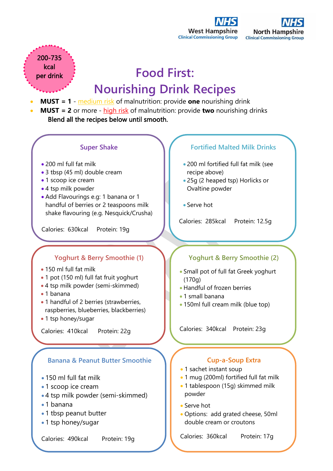



# **Food First: Nourishing Drink Recipes**

- **MUST = 1** medium risk of malnutrition: provide **one** nourishing drink
- **MUST = 2** or more high risk of malnutrition: provide **two** nourishing drinks Blend all the recipes below until smooth.



- 1 tbsp peanut butter
- 1 tsp honey/sugar

200-735 **kcal** per drink

Calories: 490kcal Protein: 19g

#### **Fortified Malted Milk Drinks**

- 200 ml fortified full fat milk (see recipe above)
- 25g (2 heaped tsp) Horlicks or Ovaltine powder
- Serve hot

Calories: 285kcal Protein: 12.5g

## **Yoghurt & Berry Smoothie (2)**

- Small pot of full fat Greek yoghurt (170g)
- Handful of frozen berries
- 1 small banana
- 150ml full cream milk (blue top)

Calories: 340kcal Protein: 23g

## **Cup-a-Soup Extra**

- 1 sachet instant soup
- 1 mug (200ml) fortified full fat milk
- 1 tablespoon (15g) skimmed milk powder
- Serve hot
- Options: add grated cheese, 50ml double cream or croutons

Calories: 360kcal Protein: 17g